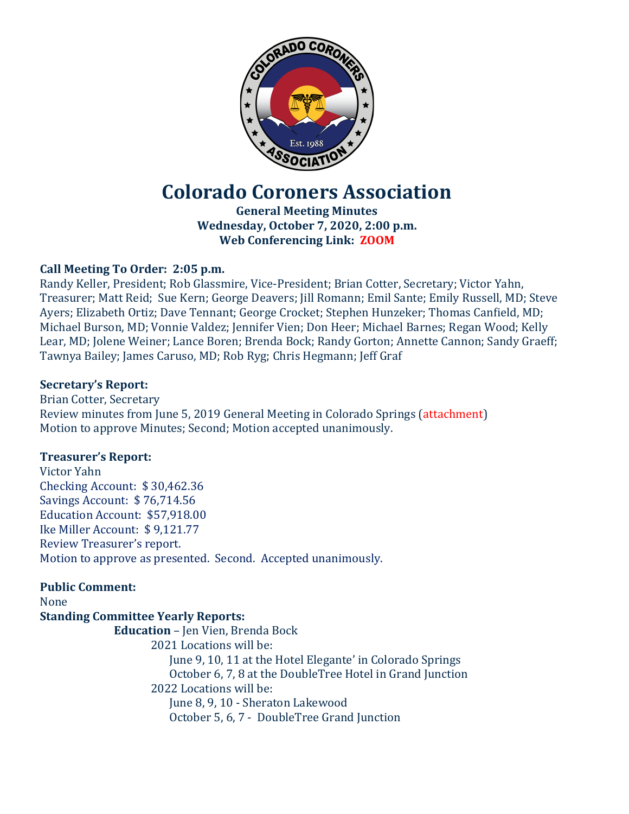

# **Colorado Coroners Association**

**General Meeting Minutes Wednesday, October 7, 2020, 2:00 p.m. Web Conferencing Link: ZOOM**

# **Call Meeting To Order: 2:05 p.m.**

Randy Keller, President; Rob Glassmire, Vice-President; Brian Cotter, Secretary; Victor Yahn, Treasurer; Matt Reid; Sue Kern; George Deavers; Jill Romann; Emil Sante; Emily Russell, MD; Steve Ayers; Elizabeth Ortiz; Dave Tennant; George Crocket; Stephen Hunzeker; Thomas Canfield, MD; Michael Burson, MD; Vonnie Valdez; Jennifer Vien; Don Heer; Michael Barnes; Regan Wood; Kelly Lear, MD; Jolene Weiner; Lance Boren; Brenda Bock; Randy Gorton; Annette Cannon; Sandy Graeff; Tawnya Bailey; James Caruso, MD; Rob Ryg; Chris Hegmann; Jeff Graf

# **Secretary's Report:**

Brian Cotter, Secretary Review minutes from June 5, 2019 General Meeting in Colorado Springs (attachment) Motion to approve Minutes; Second; Motion accepted unanimously.

## **Treasurer's Report:**

Victor Yahn Checking Account: \$ 30,462.36 Savings Account: \$ 76,714.56 Education Account: \$57,918.00 Ike Miller Account: \$ 9,121.77 Review Treasurer's report. Motion to approve as presented. Second. Accepted unanimously.

# **Public Comment:**

#### None **Standing Committee Yearly Reports:**

**Education** – Jen Vien, Brenda Bock 2021 Locations will be: June 9, 10, 11 at the Hotel Elegante' in Colorado Springs October 6, 7, 8 at the DoubleTree Hotel in Grand Junction 2022 Locations will be: June 8, 9, 10 - Sheraton Lakewood October 5, 6, 7 - DoubleTree Grand Junction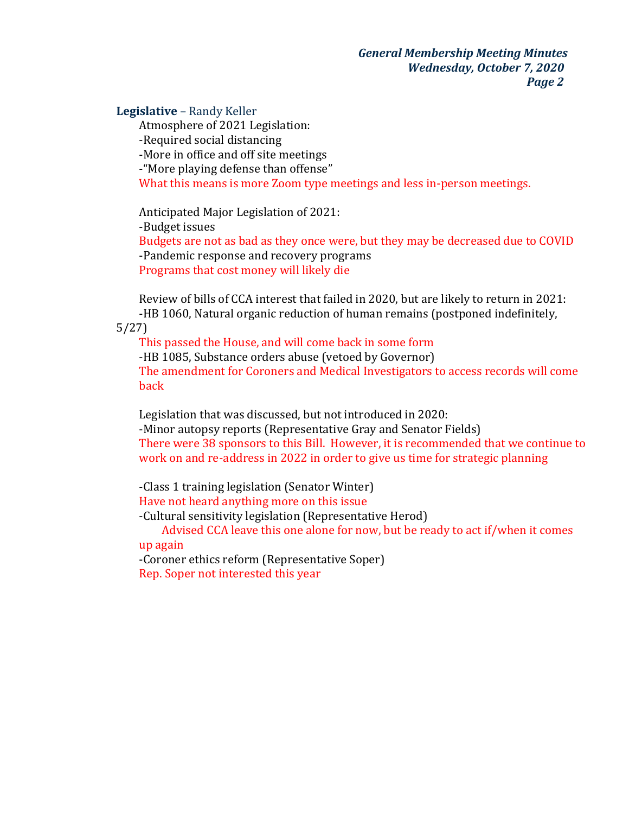*General Membership Meeting Minutes Wednesday, October 7, 2020 Page 2*

## **Legislative** – Randy Keller

Atmosphere of 2021 Legislation: -Required social distancing -More in office and off site meetings -"More playing defense than offense" What this means is more Zoom type meetings and less in-person meetings.

Anticipated Major Legislation of 2021: -Budget issues Budgets are not as bad as they once were, but they may be decreased due to COVID -Pandemic response and recovery programs Programs that cost money will likely die

Review of bills of CCA interest that failed in 2020, but are likely to return in 2021: -HB 1060, Natural organic reduction of human remains (postponed indefinitely,

5/27)

This passed the House, and will come back in some form -HB 1085, Substance orders abuse (vetoed by Governor) The amendment for Coroners and Medical Investigators to access records will come back

Legislation that was discussed, but not introduced in 2020: -Minor autopsy reports (Representative Gray and Senator Fields) There were 38 sponsors to this Bill. However, it is recommended that we continue to work on and re-address in 2022 in order to give us time for strategic planning

-Class 1 training legislation (Senator Winter)

Have not heard anything more on this issue

-Cultural sensitivity legislation (Representative Herod)

Advised CCA leave this one alone for now, but be ready to act if/when it comes up again

-Coroner ethics reform (Representative Soper) Rep. Soper not interested this year